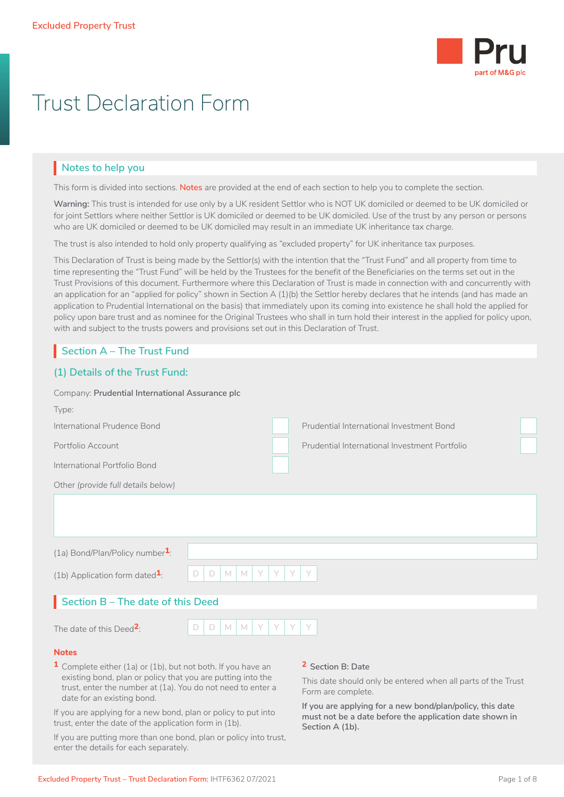

# Trust Declaration Form

# **Notes to help you**

This form is divided into sections. **Notes** are provided at the end of each section to help you to complete the section.

**Warning:** This trust is intended for use only by a UK resident Settlor who is NOT UK domiciled or deemed to be UK domiciled or for joint Settlors where neither Settlor is UK domiciled or deemed to be UK domiciled. Use of the trust by any person or persons who are UK domiciled or deemed to be UK domiciled may result in an immediate UK inheritance tax charge.

The trust is also intended to hold only property qualifying as "excluded property" for UK inheritance tax purposes.

This Declaration of Trust is being made by the Settlor(s) with the intention that the "Trust Fund" and all property from time to time representing the "Trust Fund" will be held by the Trustees for the benefit of the Beneficiaries on the terms set out in the Trust Provisions of this document. Furthermore where this Declaration of Trust is made in connection with and concurrently with an application for an "applied for policy" shown in Section A (1)(b) the Settlor hereby declares that he intends (and has made an application to Prudential International on the basis) that immediately upon its coming into existence he shall hold the applied for policy upon bare trust and as nominee for the Original Trustees who shall in turn hold their interest in the applied for policy upon, with and subject to the trusts powers and provisions set out in this Declaration of Trust.

# **Section A – The Trust Fund** I

### **(1) Details of the Trust Fund:**

| Company: Prudential International Assurance plc |                                                 |  |                                               |  |  |
|-------------------------------------------------|-------------------------------------------------|--|-----------------------------------------------|--|--|
| Type:                                           |                                                 |  |                                               |  |  |
| International Prudence Bond                     |                                                 |  | Prudential International Investment Bond      |  |  |
| Portfolio Account                               |                                                 |  | Prudential International Investment Portfolio |  |  |
| International Portfolio Bond                    |                                                 |  |                                               |  |  |
| Other (provide full details below)              |                                                 |  |                                               |  |  |
|                                                 |                                                 |  |                                               |  |  |
| (1a) Bond/Plan/Policy number $1$ :              |                                                 |  |                                               |  |  |
| (1b) Application form dated $\frac{1}{1}$ .     | Y<br>Y<br>Y<br>$M_{\odot}$<br>M<br>Y.<br>D<br>D |  |                                               |  |  |
| Section B - The date of this Deed               |                                                 |  |                                               |  |  |
| The date of this Deed <sup>2</sup> :            | M<br>Y<br>D<br>M<br>D                           |  | Y                                             |  |  |
| <b>Notes</b><br>$\blacksquare$                  |                                                 |  | $\sim$                                        |  |  |

**1** Complete either (1a) or (1b), but not both. If you have an existing bond, plan or policy that you are putting into the trust, enter the number at (1a). You do not need to enter a date for an existing bond.

If you are applying for a new bond, plan or policy to put into trust, enter the date of the application form in (1b).

If you are putting more than one bond, plan or policy into trust, enter the details for each separately.

**2 Section B: Date**

This date should only be entered when all parts of the Trust Form are complete.

**If you are applying for a new bond/plan/policy, this date must not be a date before the application date shown in Section A (1b).**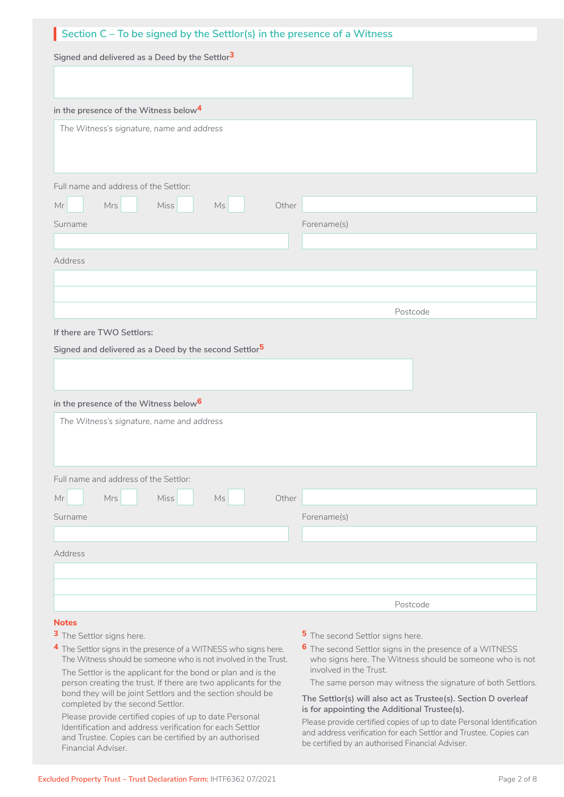| Section $C$ – To be signed by the Settlor(s) in the presence of a Witness |             |  |  |  |  |
|---------------------------------------------------------------------------|-------------|--|--|--|--|
| Signed and delivered as a Deed by the Settlor <sup>3</sup>                |             |  |  |  |  |
|                                                                           |             |  |  |  |  |
| in the presence of the Witness below <sup>4</sup>                         |             |  |  |  |  |
| The Witness's signature, name and address                                 |             |  |  |  |  |
| Full name and address of the Settlor:                                     |             |  |  |  |  |
| $\mathsf{Mr}$<br>Mrs<br><b>Miss</b><br>Ms                                 | Other       |  |  |  |  |
| Surname                                                                   | Forename(s) |  |  |  |  |
|                                                                           |             |  |  |  |  |
| Address                                                                   |             |  |  |  |  |
|                                                                           |             |  |  |  |  |
|                                                                           |             |  |  |  |  |
|                                                                           | Postcode    |  |  |  |  |
| If there are TWO Settlors:                                                |             |  |  |  |  |
| Signed and delivered as a Deed by the second Settlor <sup>5</sup>         |             |  |  |  |  |
| in the presence of the Witness below <sup>6</sup>                         |             |  |  |  |  |
| The Witness's signature, name and address                                 |             |  |  |  |  |
| Full name and address of the Settlor:                                     |             |  |  |  |  |
| $\mathsf{Mr}$<br>Mrs<br>Miss<br>$\mathsf{Ms}$                             | Other       |  |  |  |  |
| Surname                                                                   | Forename(s) |  |  |  |  |
|                                                                           |             |  |  |  |  |
| Address                                                                   |             |  |  |  |  |
|                                                                           |             |  |  |  |  |
|                                                                           |             |  |  |  |  |
|                                                                           | Postcode    |  |  |  |  |
| <b>Notes</b>                                                              |             |  |  |  |  |

- 
- **3** The Settlor signs here.
- **4** The Settlor signs in the presence of a WITNESS who signs here. The Witness should be someone who is not involved in the Trust.

The Settlor is the applicant for the bond or plan and is the person creating the trust. If there are two applicants for the bond they will be joint Settlors and the section should be completed by the second Settlor.

Please provide certified copies of up to date Personal Identification and address verification for each Settlor and Trustee. Copies can be certified by an authorised Financial Adviser.

- **5** The second Settlor signs here.
- **6** The second Settlor signs in the presence of a WITNESS who signs here. The Witness should be someone who is not involved in the Trust.

The same person may witness the signature of both Settlors.

#### **The Settlor(s) will also act as Trustee(s). Section D overleaf is for appointing the Additional Trustee(s).**

Please provide certified copies of up to date Personal Identification and address verification for each Settlor and Trustee. Copies can be certified by an authorised Financial Adviser.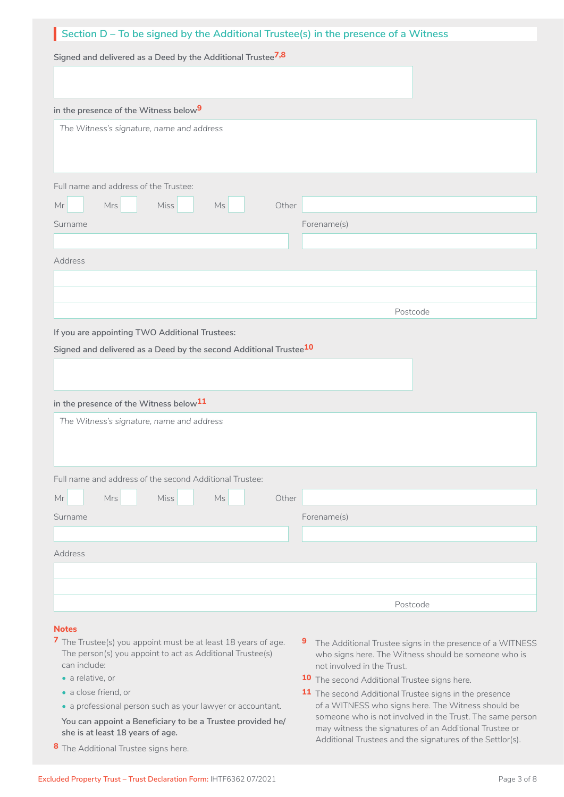#### **Notes**

- **7** The Trustee(s) you appoint must be at least 18 years of age. The person(s) you appoint to act as Additional Trustee(s) can include:
	- a relative, or
	- a close friend, or
	- a professional person such as your lawyer or accountant.

**You can appoint a Beneficiary to be a Trustee provided he/ she is at least 18 years of age.**

**8** The Additional Trustee signs here.

- **9** The Additional Trustee signs in the presence of a WITNESS who signs here. The Witness should be someone who is not involved in the Trust.
- **10** The second Additional Trustee signs here.
- **11** The second Additional Trustee signs in the presence of a WITNESS who signs here. The Witness should be someone who is not involved in the Trust. The same person may witness the signatures of an Additional Trustee or Additional Trustees and the signatures of the Settlor(s).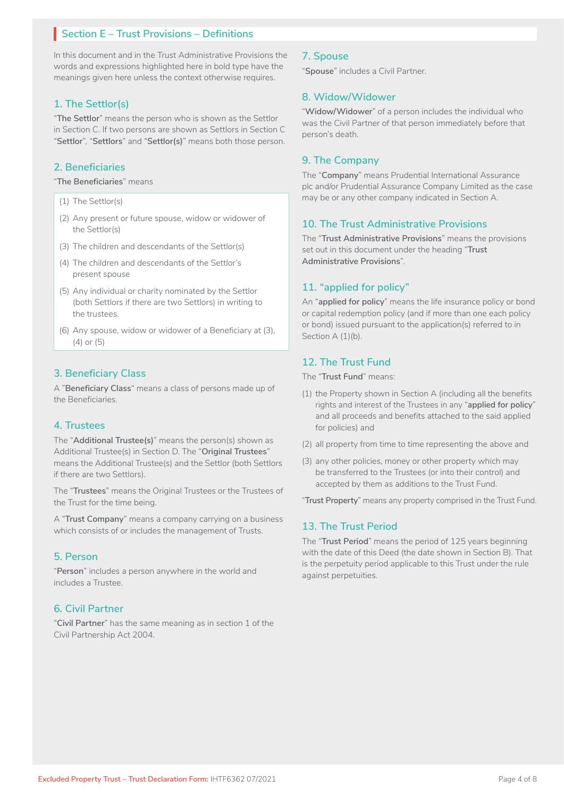# **Section E – Trust Provisions – Definitions** I

In this document and in the Trust Administrative Provisions the words and expressions highlighted here in bold type have the meanings given here unless the context otherwise requires.

#### **1. The Settlor(s)**

"**The Settlor**" means the person who is shown as the Settlor in Section C. If two persons are shown as Settlors in Section C "**Settlor**", "**Settlors**" and "**Settlor(s)**" means both those person.

#### **2. Beneficiaries**

"**The Beneficiaries**" means

- (1) The Settlor(s)
- (2) Any present or future spouse, widow or widower of the Settlor(s)
- (3) The children and descendants of the Settlor(s)
- (4) The children and descendants of the Settlor's present spouse
- (5) Any individual or charity nominated by the Settlor (both Settlors if there are two Settlors) in writing to the trustees.
- (6) Any spouse, widow or widower of a Beneficiary at (3), (4) or (5)

### **3. Beneficiary Class**

A "**Beneficiary Class**" means a class of persons made up of the Beneficiaries.

### **4. Trustees**

The "**Additional Trustee(s)**" means the person(s) shown as Additional Trustee(s) in Section D. The "**Original Trustees**" means the Additional Trustee(s) and the Settlor (both Settlors if there are two Settlors).

The "**Trustees**" means the Original Trustees or the Trustees of the Trust for the time being.

A "**Trust Company**" means a company carrying on a business which consists of or includes the management of Trusts.

### **5. Person**

"**Person**" includes a person anywhere in the world and includes a Trustee.

#### **6. Civil Partner**

"**Civil Partner**" has the same meaning as in section 1 of the Civil Partnership Act 2004.

#### **7. Spouse**

"**Spouse**" includes a Civil Partner.

#### **8. Widow/Widower**

"**Widow/Widower**" of a person includes the individual who was the Civil Partner of that person immediately before that person's death.

#### **9. The Company**

The "**Company**" means Prudential International Assurance plc and/or Prudential Assurance Company Limited as the case may be or any other company indicated in Section A.

#### **10. The Trust Administrative Provisions**

The "**Trust Administrative Provisions**" means the provisions set out in this document under the heading "**Trust Administrative Provisions**".

### **11. "applied for policy"**

An "**applied for policy**" means the life insurance policy or bond or capital redemption policy (and if more than one each policy or bond) issued pursuant to the application(s) referred to in Section A (1)(b).

#### **12. The Trust Fund**

The "**Trust Fund**" means:

- (1) the Property shown in Section A (including all the benefits rights and interest of the Trustees in any "**applied for policy**" and all proceeds and benefits attached to the said applied for policies) and
- (2) all property from time to time representing the above and
- (3) any other policies, money or other property which may be transferred to the Trustees (or into their control) and accepted by them as additions to the Trust Fund.

"**Trust Property**" means any property comprised in the Trust Fund.

#### **13. The Trust Period**

The "**Trust Period**" means the period of 125 years beginning with the date of this Deed (the date shown in Section B). That is the perpetuity period applicable to this Trust under the rule against perpetuities.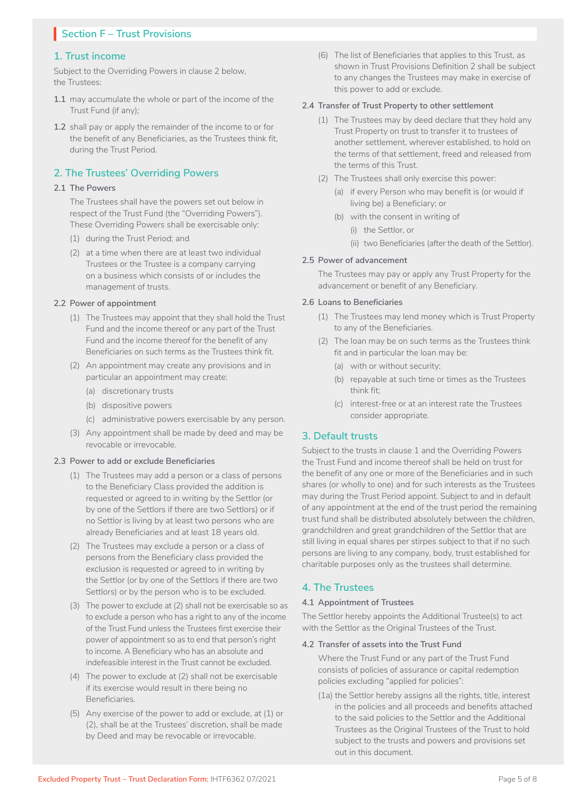# **Section F – Trust Provisions** I

#### **1. Trust income**

Subject to the Overriding Powers in clause 2 below, the Trustees:

- **1.1** may accumulate the whole or part of the income of the Trust Fund (if any);
- **1.2** shall pay or apply the remainder of the income to or for the benefit of any Beneficiaries, as the Trustees think fit, during the Trust Period.

### **2. The Trustees' Overriding Powers**

#### **2.1 The Powers**

 The Trustees shall have the powers set out below in respect of the Trust Fund (the "Overriding Powers"). These Overriding Powers shall be exercisable only:

- (1) during the Trust Period; and
- (2) at a time when there are at least two individual Trustees or the Trustee is a company carrying on a business which consists of or includes the management of trusts.

#### **2.2 Power of appointment**

- (1) The Trustees may appoint that they shall hold the Trust Fund and the income thereof or any part of the Trust Fund and the income thereof for the benefit of any Beneficiaries on such terms as the Trustees think fit.
- (2) An appointment may create any provisions and in particular an appointment may create:
	- (a) discretionary trusts
	- (b) dispositive powers
	- (c) administrative powers exercisable by any person.
- (3) Any appointment shall be made by deed and may be revocable or irrevocable.

#### **2.3 Power to add or exclude Beneficiaries**

- (1) The Trustees may add a person or a class of persons to the Beneficiary Class provided the addition is requested or agreed to in writing by the Settlor (or by one of the Settlors if there are two Settlors) or if no Settlor is living by at least two persons who are already Beneficiaries and at least 18 years old.
- (2) The Trustees may exclude a person or a class of persons from the Beneficiary class provided the exclusion is requested or agreed to in writing by the Settlor (or by one of the Settlors if there are two Settlors) or by the person who is to be excluded.
- (3) The power to exclude at (2) shall not be exercisable so as to exclude a person who has a right to any of the income of the Trust Fund unless the Trustees first exercise their power of appointment so as to end that person's right to income. A Beneficiary who has an absolute and indefeasible interest in the Trust cannot be excluded.
- (4) The power to exclude at (2) shall not be exercisable if its exercise would result in there being no Beneficiaries.
- (5) Any exercise of the power to add or exclude, at (1) or (2), shall be at the Trustees' discretion, shall be made by Deed and may be revocable or irrevocable.

(6) The list of Beneficiaries that applies to this Trust, as shown in Trust Provisions Definition 2 shall be subject to any changes the Trustees may make in exercise of this power to add or exclude.

#### **2.4 Transfer of Trust Property to other settlement**

- (1) The Trustees may by deed declare that they hold any Trust Property on trust to transfer it to trustees of another settlement, wherever established, to hold on the terms of that settlement, freed and released from the terms of this Trust.
- (2) The Trustees shall only exercise this power:
	- (a) if every Person who may benefit is (or would if living be) a Beneficiary; or
	- (b) with the consent in writing of
		- (i) the Settlor, or
			- (ii) two Beneficiaries (after the death of the Settlor).

#### **2.5 Power of advancement**

 The Trustees may pay or apply any Trust Property for the advancement or benefit of any Beneficiary.

#### **2.6 Loans to Beneficiaries**

- (1) The Trustees may lend money which is Trust Property to any of the Beneficiaries.
- (2) The loan may be on such terms as the Trustees think fit and in particular the loan may be:
	- (a) with or without security;
	- (b) repayable at such time or times as the Trustees think fit;
	- (c) interest-free or at an interest rate the Trustees consider appropriate.

### **3. Default trusts**

Subject to the trusts in clause 1 and the Overriding Powers the Trust Fund and income thereof shall be held on trust for the benefit of any one or more of the Beneficiaries and in such shares (or wholly to one) and for such interests as the Trustees may during the Trust Period appoint. Subject to and in default of any appointment at the end of the trust period the remaining trust fund shall be distributed absolutely between the children, grandchildren and great grandchildren of the Settlor that are still living in equal shares per stirpes subject to that if no such persons are living to any company, body, trust established for charitable purposes only as the trustees shall determine.

## **4. The Trustees**

#### **4.1 Appointment of Trustees**

The Settlor hereby appoints the Additional Trustee(s) to act with the Settlor as the Original Trustees of the Trust.

#### **4.2 Transfer of assets into the Trust Fund**

 Where the Trust Fund or any part of the Trust Fund consists of policies of assurance or capital redemption policies excluding "applied for policies":

(1a) the Settlor hereby assigns all the rights, title, interest in the policies and all proceeds and benefits attached to the said policies to the Settlor and the Additional Trustees as the Original Trustees of the Trust to hold subject to the trusts and powers and provisions set out in this document.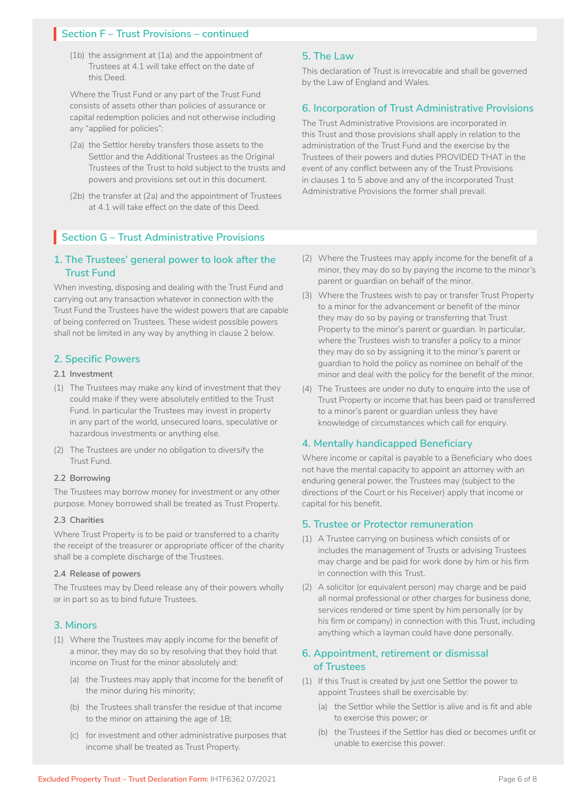# **Section F – Trust Provisions – continued** I

(1b) the assignment at (1a) and the appointment of Trustees at 4.1 will take effect on the date of this Deed.

 Where the Trust Fund or any part of the Trust Fund consists of assets other than policies of assurance or capital redemption policies and not otherwise including any "applied for policies":

- (2a) the Settlor hereby transfers those assets to the Settlor and the Additional Trustees as the Original Trustees of the Trust to hold subject to the trusts and powers and provisions set out in this document.
- (2b) the transfer at (2a) and the appointment of Trustees at 4.1 will take effect on the date of this Deed.

### **5. The Law**

This declaration of Trust is irrevocable and shall be governed by the Law of England and Wales.

#### **6. Incorporation of Trust Administrative Provisions**

The Trust Administrative Provisions are incorporated in this Trust and those provisions shall apply in relation to the administration of the Trust Fund and the exercise by the Trustees of their powers and duties PROVIDED THAT in the event of any conflict between any of the Trust Provisions in clauses 1 to 5 above and any of the incorporated Trust Administrative Provisions the former shall prevail.

# **Section G – Trust Administrative Provisions** I

### **1. The Trustees' general power to look after the Trust Fund**

When investing, disposing and dealing with the Trust Fund and carrying out any transaction whatever in connection with the Trust Fund the Trustees have the widest powers that are capable of being conferred on Trustees. These widest possible powers shall not be limited in any way by anything in clause 2 below.

### **2. Specific Powers**

#### **2.1 Investment**

- (1) The Trustees may make any kind of investment that they could make if they were absolutely entitled to the Trust Fund. In particular the Trustees may invest in property in any part of the world, unsecured loans, speculative or hazardous investments or anything else.
- (2) The Trustees are under no obligation to diversify the Trust Fund.

#### **2.2 Borrowing**

The Trustees may borrow money for investment or any other purpose. Money borrowed shall be treated as Trust Property.

#### **2.3 Charities**

Where Trust Property is to be paid or transferred to a charity the receipt of the treasurer or appropriate officer of the charity shall be a complete discharge of the Trustees.

#### **2.4 Release of powers**

The Trustees may by Deed release any of their powers wholly or in part so as to bind future Trustees.

#### **3. Minors**

- (1) Where the Trustees may apply income for the benefit of a minor, they may do so by resolving that they hold that income on Trust for the minor absolutely and:
	- (a) the Trustees may apply that income for the benefit of the minor during his minority;
	- (b) the Trustees shall transfer the residue of that income to the minor on attaining the age of 18;
	- (c) for investment and other administrative purposes that income shall be treated as Trust Property.
- (2) Where the Trustees may apply income for the benefit of a minor, they may do so by paying the income to the minor's parent or guardian on behalf of the minor.
- (3) Where the Trustees wish to pay or transfer Trust Property to a minor for the advancement or benefit of the minor they may do so by paying or transferring that Trust Property to the minor's parent or guardian. In particular, where the Trustees wish to transfer a policy to a minor they may do so by assigning it to the minor's parent or guardian to hold the policy as nominee on behalf of the minor and deal with the policy for the benefit of the minor.
- (4) The Trustees are under no duty to enquire into the use of Trust Property or income that has been paid or transferred to a minor's parent or guardian unless they have knowledge of circumstances which call for enquiry.

#### **4. Mentally handicapped Beneficiary**

Where income or capital is payable to a Beneficiary who does not have the mental capacity to appoint an attorney with an enduring general power, the Trustees may (subject to the directions of the Court or his Receiver) apply that income or capital for his benefit.

#### **5. Trustee or Protector remuneration**

- (1) A Trustee carrying on business which consists of or includes the management of Trusts or advising Trustees may charge and be paid for work done by him or his firm in connection with this Trust.
- (2) A solicitor (or equivalent person) may charge and be paid all normal professional or other charges for business done, services rendered or time spent by him personally (or by his firm or company) in connection with this Trust, including anything which a layman could have done personally.

### **6. Appointment, retirement or dismissal of Trustees**

- (1) If this Trust is created by just one Settlor the power to appoint Trustees shall be exercisable by:
	- (a) the Settlor while the Settlor is alive and is fit and able to exercise this power; or
	- (b) the Trustees if the Settlor has died or becomes unfit or unable to exercise this power.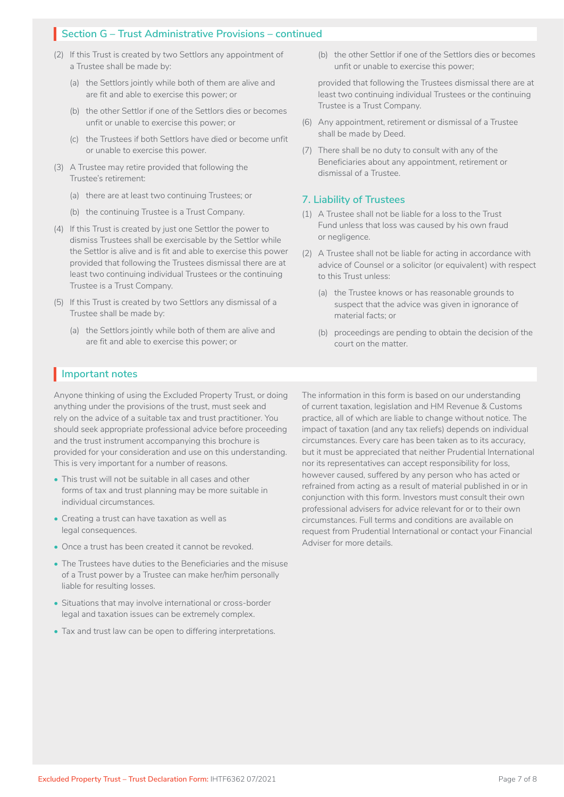# **Section G – Trust Administrative Provisions – continued** I

- (2) If this Trust is created by two Settlors any appointment of a Trustee shall be made by:
	- (a) the Settlors jointly while both of them are alive and are fit and able to exercise this power; or
	- (b) the other Settlor if one of the Settlors dies or becomes unfit or unable to exercise this power; or
	- (c) the Trustees if both Settlors have died or become unfit or unable to exercise this power.
- (3) A Trustee may retire provided that following the Trustee's retirement:
	- (a) there are at least two continuing Trustees; or
	- (b) the continuing Trustee is a Trust Company.
- (4) If this Trust is created by just one Settlor the power to dismiss Trustees shall be exercisable by the Settlor while the Settlor is alive and is fit and able to exercise this power provided that following the Trustees dismissal there are at least two continuing individual Trustees or the continuing Trustee is a Trust Company.
- (5) If this Trust is created by two Settlors any dismissal of a Trustee shall be made by:
	- (a) the Settlors jointly while both of them are alive and are fit and able to exercise this power; or

(b) the other Settlor if one of the Settlors dies or becomes unfit or unable to exercise this power;

 provided that following the Trustees dismissal there are at least two continuing individual Trustees or the continuing Trustee is a Trust Company.

- (6) Any appointment, retirement or dismissal of a Trustee shall be made by Deed.
- (7) There shall be no duty to consult with any of the Beneficiaries about any appointment, retirement or dismissal of a Trustee.

#### **7. Liability of Trustees**

- (1) A Trustee shall not be liable for a loss to the Trust Fund unless that loss was caused by his own fraud or negligence.
- (2) A Trustee shall not be liable for acting in accordance with advice of Counsel or a solicitor (or equivalent) with respect to this Trust unless:
	- (a) the Trustee knows or has reasonable grounds to suspect that the advice was given in ignorance of material facts; or
	- (b) proceedings are pending to obtain the decision of the court on the matter.

# **Important notes** I

Anyone thinking of using the Excluded Property Trust, or doing anything under the provisions of the trust, must seek and rely on the advice of a suitable tax and trust practitioner. You should seek appropriate professional advice before proceeding and the trust instrument accompanying this brochure is provided for your consideration and use on this understanding. This is very important for a number of reasons.

- This trust will not be suitable in all cases and other forms of tax and trust planning may be more suitable in individual circumstances.
- Creating a trust can have taxation as well as legal consequences.
- Once a trust has been created it cannot be revoked.
- The Trustees have duties to the Beneficiaries and the misuse of a Trust power by a Trustee can make her/him personally liable for resulting losses.
- Situations that may involve international or cross-border legal and taxation issues can be extremely complex.
- Tax and trust law can be open to differing interpretations.

The information in this form is based on our understanding of current taxation, legislation and HM Revenue & Customs practice, all of which are liable to change without notice. The impact of taxation (and any tax reliefs) depends on individual circumstances. Every care has been taken as to its accuracy, but it must be appreciated that neither Prudential International nor its representatives can accept responsibility for loss, however caused, suffered by any person who has acted or refrained from acting as a result of material published in or in conjunction with this form. Investors must consult their own professional advisers for advice relevant for or to their own circumstances. Full terms and conditions are available on request from Prudential International or contact your Financial Adviser for more details.